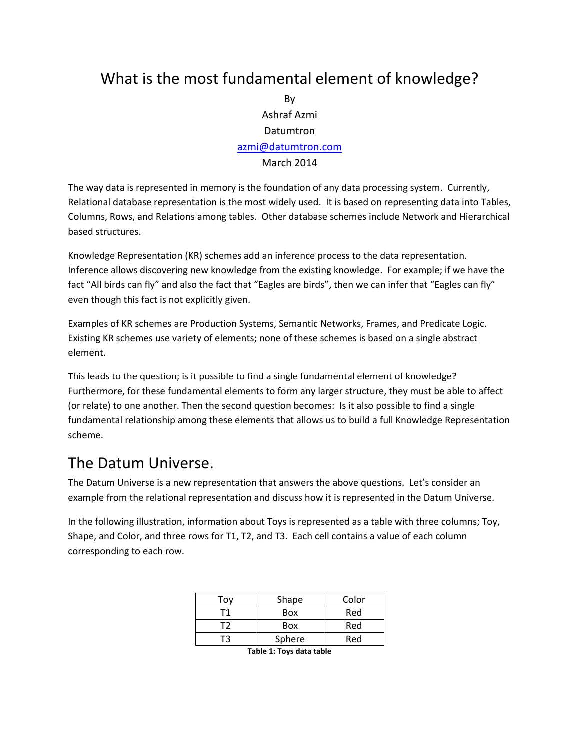## What is the most fundamental element of knowledge?

By Ashraf Azmi Datumtron [azmi@datumtron.com](mailto:azmi@datumtron.com) March 2014

The way data is represented in memory is the foundation of any data processing system. Currently, Relational database representation is the most widely used. It is based on representing data into Tables, Columns, Rows, and Relations among tables. Other database schemes include Network and Hierarchical based structures.

Knowledge Representation (KR) schemes add an inference process to the data representation. Inference allows discovering new knowledge from the existing knowledge. For example; if we have the fact "All birds can fly" and also the fact that "Eagles are birds", then we can infer that "Eagles can fly" even though this fact is not explicitly given.

Examples of KR schemes are Production Systems, Semantic Networks, Frames, and Predicate Logic. Existing KR schemes use variety of elements; none of these schemes is based on a single abstract element.

This leads to the question; is it possible to find a single fundamental element of knowledge? Furthermore, for these fundamental elements to form any larger structure, they must be able to affect (or relate) to one another. Then the second question becomes: Is it also possible to find a single fundamental relationship among these elements that allows us to build a full Knowledge Representation scheme.

#### The Datum Universe.

The Datum Universe is a new representation that answers the above questions. Let's consider an example from the relational representation and discuss how it is represented in the Datum Universe.

In the following illustration, information about Toys is represented as a table with three columns; Toy, Shape, and Color, and three rows for T1, T2, and T3. Each cell contains a value of each column corresponding to each row.

| Τον | Shape  | Color |  |  |
|-----|--------|-------|--|--|
|     | Box    | Red   |  |  |
| -12 | Box    | Red   |  |  |
|     | Sphere | Red   |  |  |
|     |        |       |  |  |

**Table 1: Toys data table**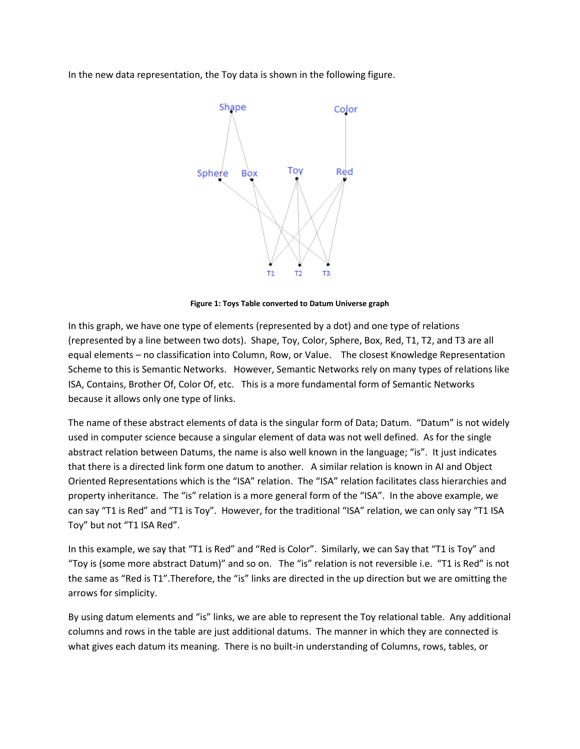In the new data representation, the Toy data is shown in the following figure.



**Figure 1: Toys Table converted to Datum Universe graph**

In this graph, we have one type of elements (represented by a dot) and one type of relations (represented by a line between two dots). Shape, Toy, Color, Sphere, Box, Red, T1, T2, and T3 are all equal elements – no classification into Column, Row, or Value. The closest Knowledge Representation Scheme to this is Semantic Networks. However, Semantic Networks rely on many types of relations like ISA, Contains, Brother Of, Color Of, etc. This is a more fundamental form of Semantic Networks because it allows only one type of links.

The name of these abstract elements of data is the singular form of Data; Datum. "Datum" is not widely used in computer science because a singular element of data was not well defined. As for the single abstract relation between Datums, the name is also well known in the language; "is". It just indicates that there is a directed link form one datum to another. A similar relation is known in AI and Object Oriented Representations which is the "ISA" relation. The "ISA" relation facilitates class hierarchies and property inheritance. The "is" relation is a more general form of the "ISA". In the above example, we can say "T1 is Red" and "T1 is Toy". However, for the traditional "ISA" relation, we can only say "T1 ISA Toy" but not "T1 ISA Red".

In this example, we say that "T1 is Red" and "Red is Color". Similarly, we can Say that "T1 is Toy" and "Toy is (some more abstract Datum)" and so on. The "is" relation is not reversible i.e. "T1 is Red" is not the same as "Red is T1".Therefore, the "is" links are directed in the up direction but we are omitting the arrows for simplicity.

By using datum elements and "is" links, we are able to represent the Toy relational table. Any additional columns and rows in the table are just additional datums. The manner in which they are connected is what gives each datum its meaning. There is no built-in understanding of Columns, rows, tables, or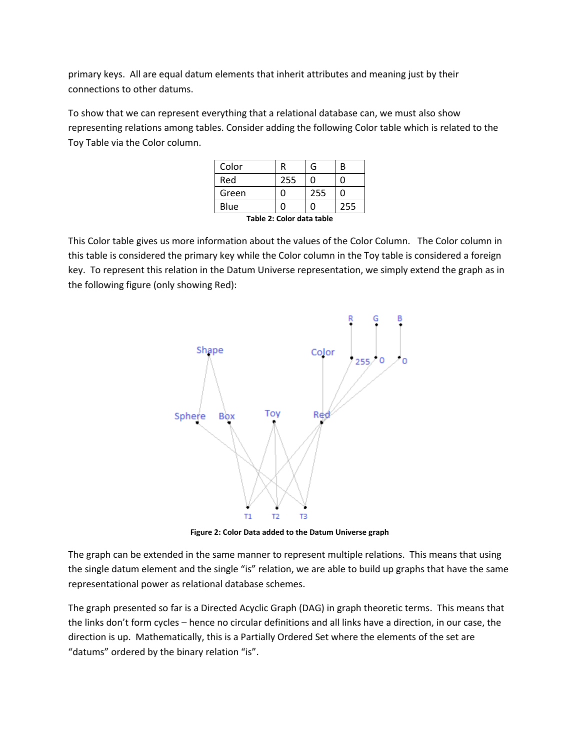primary keys. All are equal datum elements that inherit attributes and meaning just by their connections to other datums.

To show that we can represent everything that a relational database can, we must also show representing relations among tables. Consider adding the following Color table which is related to the Toy Table via the Color column.

| Color                     |     | G   | B   |  |
|---------------------------|-----|-----|-----|--|
| Red                       | 255 | ი   |     |  |
| Green                     |     | 255 | n   |  |
| Blue                      |     | 0   | 255 |  |
| Tahla 3. Calax data tahla |     |     |     |  |

**Table 2: Color data table**

This Color table gives us more information about the values of the Color Column. The Color column in this table is considered the primary key while the Color column in the Toy table is considered a foreign key. To represent this relation in the Datum Universe representation, we simply extend the graph as in the following figure (only showing Red):



**Figure 2: Color Data added to the Datum Universe graph**

The graph can be extended in the same manner to represent multiple relations. This means that using the single datum element and the single "is" relation, we are able to build up graphs that have the same representational power as relational database schemes.

The graph presented so far is a Directed Acyclic Graph (DAG) in graph theoretic terms. This means that the links don't form cycles – hence no circular definitions and all links have a direction, in our case, the direction is up. Mathematically, this is a Partially Ordered Set where the elements of the set are "datums" ordered by the binary relation "is".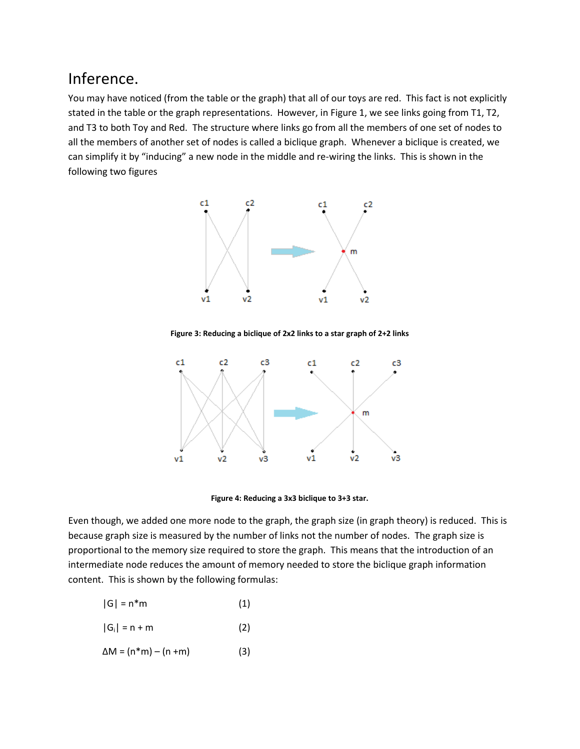### Inference.

You may have noticed (from the table or the graph) that all of our toys are red. This fact is not explicitly stated in the table or the graph representations. However, in Figure 1, we see links going from T1, T2, and T3 to both Toy and Red. The structure where links go from all the members of one set of nodes to all the members of another set of nodes is called a biclique graph. Whenever a biclique is created, we can simplify it by "inducing" a new node in the middle and re-wiring the links. This is shown in the following two figures



**Figure 3: Reducing a biclique of 2x2 links to a star graph of 2+2 links**



**Figure 4: Reducing a 3x3 biclique to 3+3 star.**

Even though, we added one more node to the graph, the graph size (in graph theory) is reduced. This is because graph size is measured by the number of links not the number of nodes. The graph size is proportional to the memory size required to store the graph. This means that the introduction of an intermediate node reduces the amount of memory needed to store the biclique graph information content. This is shown by the following formulas:

$$
|G| = n^*m \tag{1}
$$

- $|G_i| = n + m$  (2)
- $\Delta M = (n*m) (n+m)$  (3)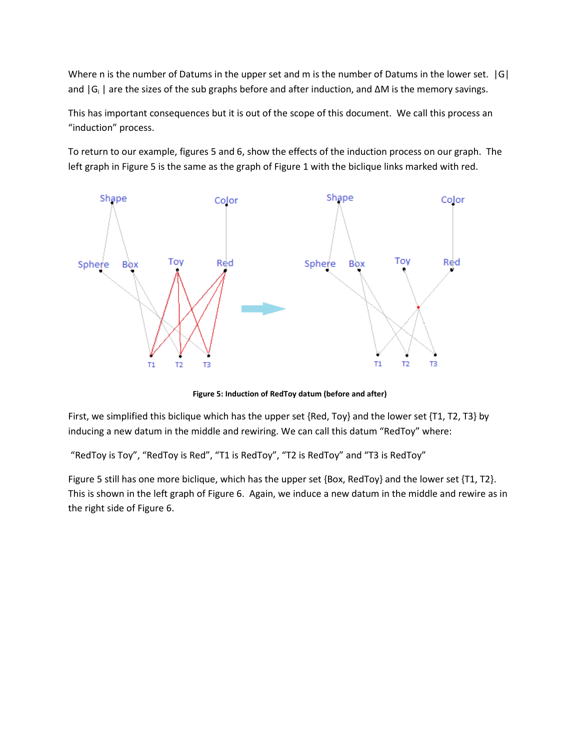Where n is the number of Datums in the upper set and m is the number of Datums in the lower set. [G] and |G<sub>i</sub> | are the sizes of the sub graphs before and after induction, and ∆M is the memory savings.

This has important consequences but it is out of the scope of this document. We call this process an "induction" process.

To return to our example, figures 5 and 6, show the effects of the induction process on our graph. The left graph in Figure 5 is the same as the graph of Figure 1 with the biclique links marked with red.



**Figure 5: Induction of RedToy datum (before and after)**

First, we simplified this biclique which has the upper set {Red, Toy} and the lower set {T1, T2, T3} by inducing a new datum in the middle and rewiring. We can call this datum "RedToy" where:

"RedToy is Toy", "RedToy is Red", "T1 is RedToy", "T2 is RedToy" and "T3 is RedToy"

Figure 5 still has one more biclique, which has the upper set {Box, RedToy} and the lower set {T1, T2}. This is shown in the left graph of Figure 6. Again, we induce a new datum in the middle and rewire as in the right side of Figure 6.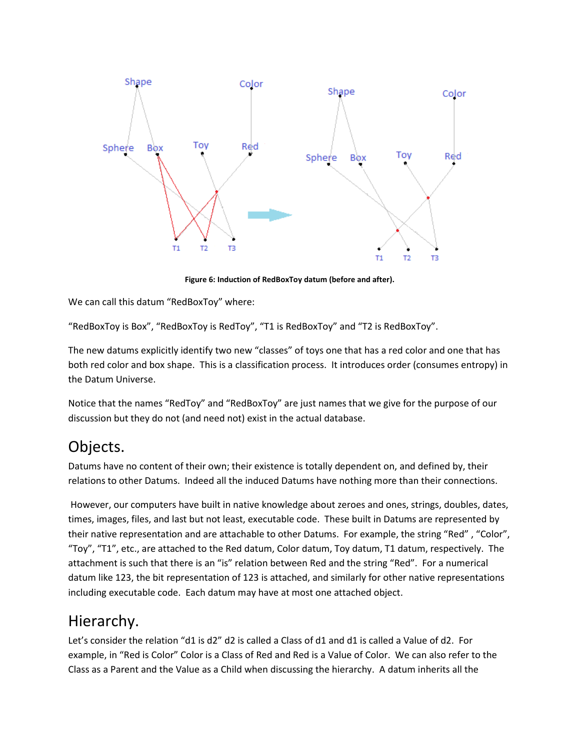

**Figure 6: Induction of RedBoxToy datum (before and after).**

We can call this datum "RedBoxToy" where:

"RedBoxToy is Box", "RedBoxToy is RedToy", "T1 is RedBoxToy" and "T2 is RedBoxToy".

The new datums explicitly identify two new "classes" of toys one that has a red color and one that has both red color and box shape. This is a classification process. It introduces order (consumes entropy) in the Datum Universe.

Notice that the names "RedToy" and "RedBoxToy" are just names that we give for the purpose of our discussion but they do not (and need not) exist in the actual database.

### Objects.

Datums have no content of their own; their existence is totally dependent on, and defined by, their relations to other Datums. Indeed all the induced Datums have nothing more than their connections.

However, our computers have built in native knowledge about zeroes and ones, strings, doubles, dates, times, images, files, and last but not least, executable code. These built in Datums are represented by their native representation and are attachable to other Datums. For example, the string "Red" , "Color", "Toy", "T1", etc., are attached to the Red datum, Color datum, Toy datum, T1 datum, respectively. The attachment is such that there is an "is" relation between Red and the string "Red". For a numerical datum like 123, the bit representation of 123 is attached, and similarly for other native representations including executable code. Each datum may have at most one attached object.

### Hierarchy.

Let's consider the relation "d1 is d2" d2 is called a Class of d1 and d1 is called a Value of d2. For example, in "Red is Color" Color is a Class of Red and Red is a Value of Color. We can also refer to the Class as a Parent and the Value as a Child when discussing the hierarchy. A datum inherits all the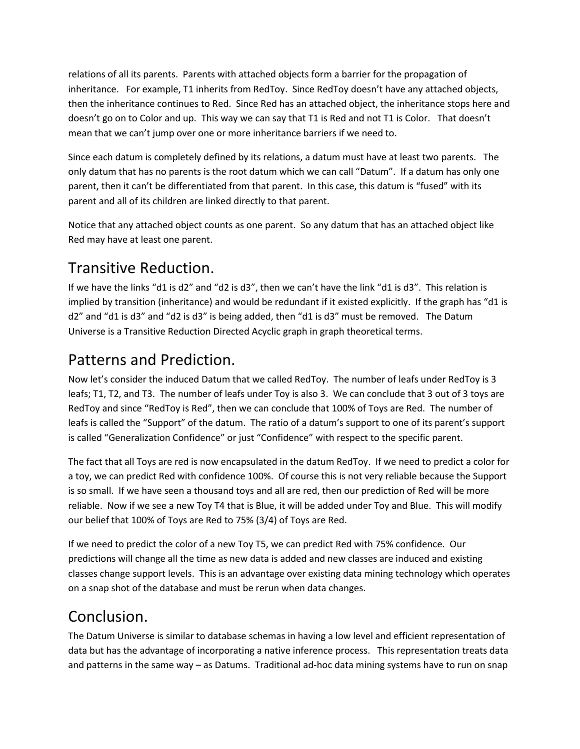relations of all its parents. Parents with attached objects form a barrier for the propagation of inheritance. For example, T1 inherits from RedToy. Since RedToy doesn't have any attached objects, then the inheritance continues to Red. Since Red has an attached object, the inheritance stops here and doesn't go on to Color and up. This way we can say that T1 is Red and not T1 is Color. That doesn't mean that we can't jump over one or more inheritance barriers if we need to.

Since each datum is completely defined by its relations, a datum must have at least two parents. The only datum that has no parents is the root datum which we can call "Datum". If a datum has only one parent, then it can't be differentiated from that parent. In this case, this datum is "fused" with its parent and all of its children are linked directly to that parent.

Notice that any attached object counts as one parent. So any datum that has an attached object like Red may have at least one parent.

# Transitive Reduction.

If we have the links "d1 is d2" and "d2 is d3", then we can't have the link "d1 is d3". This relation is implied by transition (inheritance) and would be redundant if it existed explicitly. If the graph has "d1 is d2" and "d1 is d3" and "d2 is d3" is being added, then "d1 is d3" must be removed. The Datum Universe is a Transitive Reduction Directed Acyclic graph in graph theoretical terms.

## Patterns and Prediction.

Now let's consider the induced Datum that we called RedToy. The number of leafs under RedToy is 3 leafs; T1, T2, and T3. The number of leafs under Toy is also 3. We can conclude that 3 out of 3 toys are RedToy and since "RedToy is Red", then we can conclude that 100% of Toys are Red. The number of leafs is called the "Support" of the datum. The ratio of a datum's support to one of its parent's support is called "Generalization Confidence" or just "Confidence" with respect to the specific parent.

The fact that all Toys are red is now encapsulated in the datum RedToy. If we need to predict a color for a toy, we can predict Red with confidence 100%. Of course this is not very reliable because the Support is so small. If we have seen a thousand toys and all are red, then our prediction of Red will be more reliable. Now if we see a new Toy T4 that is Blue, it will be added under Toy and Blue. This will modify our belief that 100% of Toys are Red to 75% (3/4) of Toys are Red.

If we need to predict the color of a new Toy T5, we can predict Red with 75% confidence. Our predictions will change all the time as new data is added and new classes are induced and existing classes change support levels. This is an advantage over existing data mining technology which operates on a snap shot of the database and must be rerun when data changes.

# Conclusion.

The Datum Universe is similar to database schemas in having a low level and efficient representation of data but has the advantage of incorporating a native inference process. This representation treats data and patterns in the same way – as Datums. Traditional ad-hoc data mining systems have to run on snap